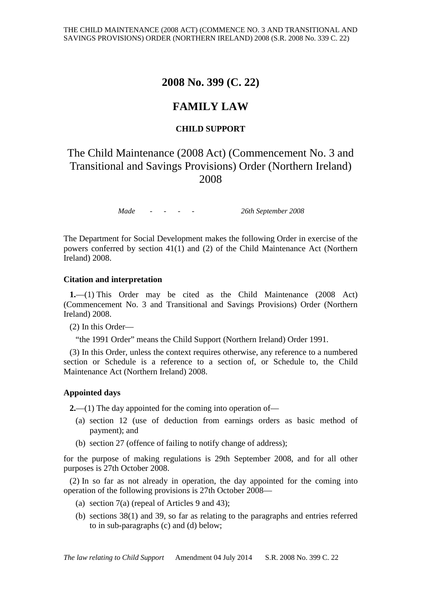## **2008 No. 399 (C. 22)**

## **FAMILY LAW**

### **CHILD SUPPORT**

# The Child Maintenance (2008 Act) (Commencement No. 3 and Transitional and Savings Provisions) Order (Northern Ireland) 2008

*Made - - - - 26th September 2008*

The Department for Social Development makes the following Order in exercise of the powers conferred by section 41(1) and (2) of the Child Maintenance Act (Northern Ireland) 2008.

#### **Citation and interpretation**

**1.**—(1) This Order may be cited as the Child Maintenance (2008 Act) (Commencement No. 3 and Transitional and Savings Provisions) Order (Northern Ireland) 2008.

(2) In this Order—

"the 1991 Order" means the Child Support (Northern Ireland) Order 1991.

(3) In this Order, unless the context requires otherwise, any reference to a numbered section or Schedule is a reference to a section of, or Schedule to, the Child Maintenance Act (Northern Ireland) 2008.

#### **Appointed days**

**2.**—(1) The day appointed for the coming into operation of—

- (a) section 12 (use of deduction from earnings orders as basic method of payment); and
- (b) section 27 (offence of failing to notify change of address);

for the purpose of making regulations is 29th September 2008, and for all other purposes is 27th October 2008.

(2) In so far as not already in operation, the day appointed for the coming into operation of the following provisions is 27th October 2008—

- (a) section 7(a) (repeal of Articles 9 and 43);
- (b) sections 38(1) and 39, so far as relating to the paragraphs and entries referred to in sub-paragraphs (c) and (d) below;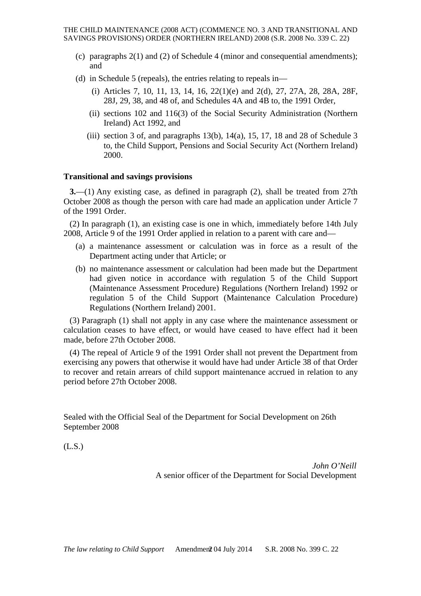- (c) paragraphs 2(1) and (2) of Schedule 4 (minor and consequential amendments); and
- (d) in Schedule 5 (repeals), the entries relating to repeals in—
	- (i) Articles 7, 10, 11, 13, 14, 16, 22(1)(e) and 2(d), 27, 27A, 28, 28A, 28F, 28J, 29, 38, and 48 of, and Schedules 4A and 4B to, the 1991 Order,
	- (ii) sections 102 and 116(3) of the Social Security Administration (Northern Ireland) Act 1992, and
	- (iii) section 3 of, and paragraphs  $13(b)$ ,  $14(a)$ ,  $15$ ,  $17$ ,  $18$  and  $28$  of Schedule 3 to, the Child Support, Pensions and Social Security Act (Northern Ireland) 2000.

#### **Transitional and savings provisions**

**3.**—(1) Any existing case, as defined in paragraph (2), shall be treated from 27th October 2008 as though the person with care had made an application under Article 7 of the 1991 Order.

(2) In paragraph (1), an existing case is one in which, immediately before 14th July 2008, Article 9 of the 1991 Order applied in relation to a parent with care and—

- (a) a maintenance assessment or calculation was in force as a result of the Department acting under that Article; or
- (b) no maintenance assessment or calculation had been made but the Department had given notice in accordance with regulation 5 of the Child Support (Maintenance Assessment Procedure) Regulations (Northern Ireland) 1992 or regulation 5 of the Child Support (Maintenance Calculation Procedure) Regulations (Northern Ireland) 2001.

(3) Paragraph (1) shall not apply in any case where the maintenance assessment or calculation ceases to have effect, or would have ceased to have effect had it been made, before 27th October 2008.

(4) The repeal of Article 9 of the 1991 Order shall not prevent the Department from exercising any powers that otherwise it would have had under Article 38 of that Order to recover and retain arrears of child support maintenance accrued in relation to any period before 27th October 2008.

Sealed with the Official Seal of the Department for Social Development on 26th September 2008

(L.S.)

*John O'Neill* A senior officer of the Department for Social Development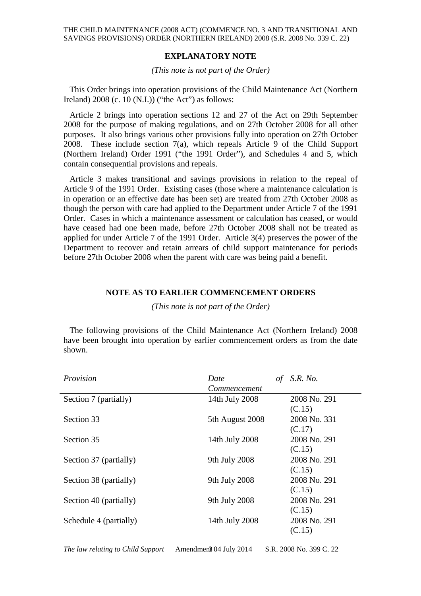#### **EXPLANATORY NOTE**

#### *(This note is not part of the Order)*

This Order brings into operation provisions of the Child Maintenance Act (Northern Ireland)  $2008$  (c. 10 (N.I.)) ("the Act") as follows:

Article 2 brings into operation sections 12 and 27 of the Act on 29th September 2008 for the purpose of making regulations, and on 27th October 2008 for all other purposes. It also brings various other provisions fully into operation on 27th October 2008. These include section 7(a), which repeals Article 9 of the Child Support (Northern Ireland) Order 1991 ("the 1991 Order"), and Schedules 4 and 5, which contain consequential provisions and repeals.

Article 3 makes transitional and savings provisions in relation to the repeal of Article 9 of the 1991 Order. Existing cases (those where a maintenance calculation is in operation or an effective date has been set) are treated from 27th October 2008 as though the person with care had applied to the Department under Article 7 of the 1991 Order. Cases in which a maintenance assessment or calculation has ceased, or would have ceased had one been made, before 27th October 2008 shall not be treated as applied for under Article 7 of the 1991 Order. Article 3(4) preserves the power of the Department to recover and retain arrears of child support maintenance for periods before 27th October 2008 when the parent with care was being paid a benefit.

#### **NOTE AS TO EARLIER COMMENCEMENT ORDERS**

*(This note is not part of the Order)*

The following provisions of the Child Maintenance Act (Northern Ireland) 2008 have been brought into operation by earlier commencement orders as from the date shown.

| Provision              | Date<br>οf      | <i>S.R. No.</i> |
|------------------------|-----------------|-----------------|
|                        | Commencement    |                 |
| Section 7 (partially)  | 14th July 2008  | 2008 No. 291    |
|                        |                 | (C.15)          |
| Section 33             | 5th August 2008 | 2008 No. 331    |
|                        |                 | (C.17)          |
| Section 35             | 14th July 2008  | 2008 No. 291    |
|                        |                 | (C.15)          |
| Section 37 (partially) | 9th July 2008   | 2008 No. 291    |
|                        |                 | (C.15)          |
| Section 38 (partially) | 9th July 2008   | 2008 No. 291    |
|                        |                 | (C.15)          |
| Section 40 (partially) | 9th July 2008   | 2008 No. 291    |
|                        |                 | (C.15)          |
| Schedule 4 (partially) | 14th July 2008  | 2008 No. 291    |
|                        |                 | (C.15)          |

*The law relating to Child Support* Amendment 04 July 2014 S.R. 2008 No. 399 C. 22